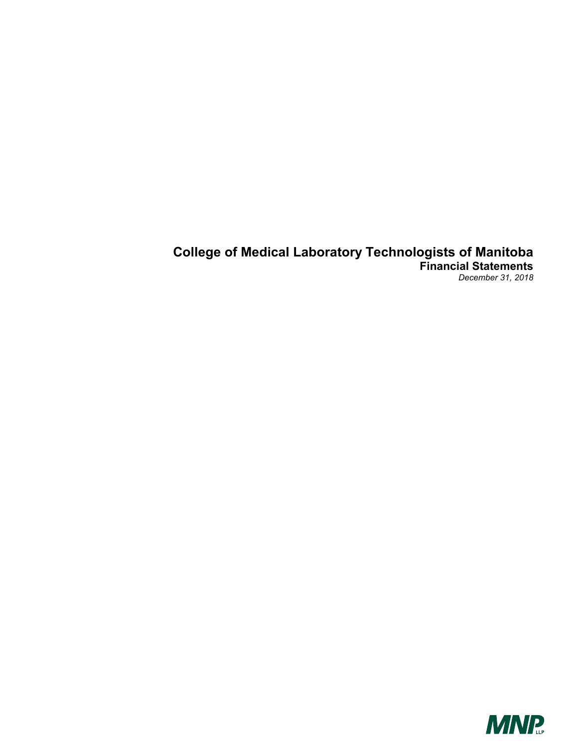## **College of Medical Laboratory Technologists of Manitoba Financial Statements** *December 31, 2018*

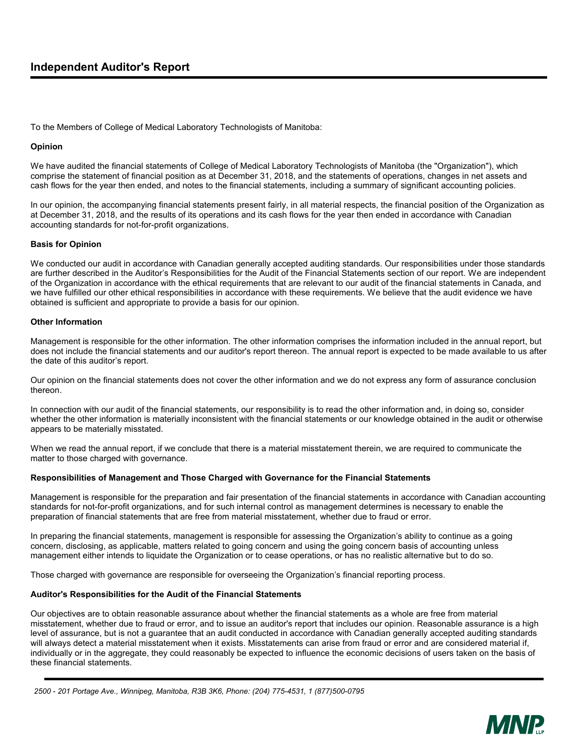## **Independent Auditor's Report**

To the Members of College of Medical Laboratory Technologists of Manitoba:

#### **Opinion**

We have audited the financial statements of College of Medical Laboratory Technologists of Manitoba (the "Organization"), which comprise the statement of financial position as at December 31, 2018, and the statements of operations, changes in net assets and cash flows for the year then ended, and notes to the financial statements, including a summary of significant accounting policies.

In our opinion, the accompanying financial statements present fairly, in all material respects, the financial position of the Organization as at December 31, 2018, and the results of its operations and its cash flows for the year then ended in accordance with Canadian accounting standards for not-for-profit organizations.

#### **Basis for Opinion**

We conducted our audit in accordance with Canadian generally accepted auditing standards. Our responsibilities under those standards are further described in the Auditor's Responsibilities for the Audit of the Financial Statements section of our report. We are independent of the Organization in accordance with the ethical requirements that are relevant to our audit of the financial statements in Canada, and we have fulfilled our other ethical responsibilities in accordance with these requirements. We believe that the audit evidence we have obtained is sufficient and appropriate to provide a basis for our opinion.

#### **Other Information**

Management is responsible for the other information. The other information comprises the information included in the annual report, but does not include the financial statements and our auditor's report thereon. The annual report is expected to be made available to us after the date of this auditor's report.

Our opinion on the financial statements does not cover the other information and we do not express any form of assurance conclusion thereon.

In connection with our audit of the financial statements, our responsibility is to read the other information and, in doing so, consider whether the other information is materially inconsistent with the financial statements or our knowledge obtained in the audit or otherwise appears to be materially misstated.

When we read the annual report, if we conclude that there is a material misstatement therein, we are required to communicate the matter to those charged with governance.

#### **Responsibilities of Management and Those Charged with Governance for the Financial Statements**

Management is responsible for the preparation and fair presentation of the financial statements in accordance with Canadian accounting standards for not-for-profit organizations, and for such internal control as management determines is necessary to enable the preparation of financial statements that are free from material misstatement, whether due to fraud or error.

In preparing the financial statements, management is responsible for assessing the Organization's ability to continue as a going concern, disclosing, as applicable, matters related to going concern and using the going concern basis of accounting unless management either intends to liquidate the Organization or to cease operations, or has no realistic alternative but to do so.

Those charged with governance are responsible for overseeing the Organization's financial reporting process.

#### **Auditor's Responsibilities for the Audit of the Financial Statements**

Our objectives are to obtain reasonable assurance about whether the financial statements as a whole are free from material misstatement, whether due to fraud or error, and to issue an auditor's report that includes our opinion. Reasonable assurance is a high level of assurance, but is not a guarantee that an audit conducted in accordance with Canadian generally accepted auditing standards will always detect a material misstatement when it exists. Misstatements can arise from fraud or error and are considered material if, individually or in the aggregate, they could reasonably be expected to influence the economic decisions of users taken on the basis of these financial statements.

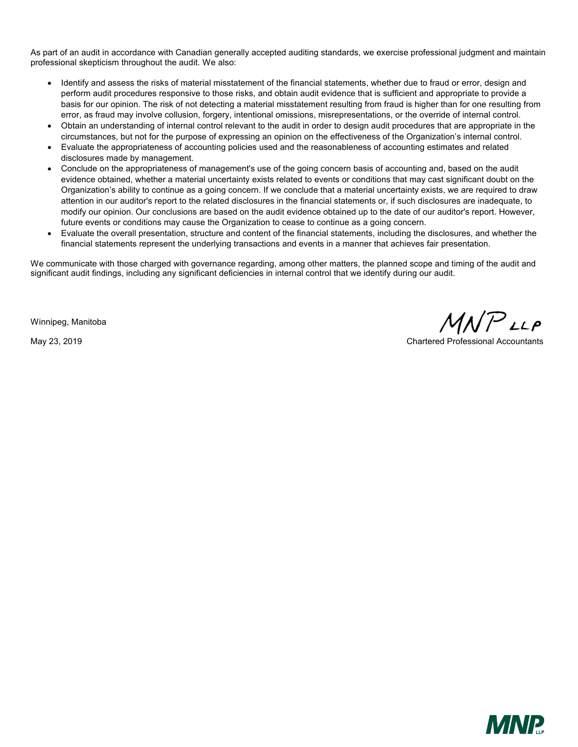As part of an audit in accordance with Canadian generally accepted auditing standards, we exercise professional judgment and maintain professional skepticism throughout the audit. We also:

- Identify and assess the risks of material misstatement of the financial statements, whether due to fraud or error, design and perform audit procedures responsive to those risks, and obtain audit evidence that is sufficient and appropriate to provide a basis for our opinion. The risk of not detecting a material misstatement resulting from fraud is higher than for one resulting from error, as fraud may involve collusion, forgery, intentional omissions, misrepresentations, or the override of internal control.
- Obtain an understanding of internal control relevant to the audit in order to design audit procedures that are appropriate in the circumstances, but not for the purpose of expressing an opinion on the effectiveness of the Organization's internal control.
- Evaluate the appropriateness of accounting policies used and the reasonableness of accounting estimates and related disclosures made by management.
- Conclude on the appropriateness of management's use of the going concern basis of accounting and, based on the audit evidence obtained, whether a material uncertainty exists related to events or conditions that may cast significant doubt on the Organization's ability to continue as a going concern. If we conclude that a material uncertainty exists, we are required to draw attention in our auditor's report to the related disclosures in the financial statements or, if such disclosures are inadequate, to modify our opinion. Our conclusions are based on the audit evidence obtained up to the date of our auditor's report. However, future events or conditions may cause the Organization to cease to continue as a going concern.
- Evaluate the overall presentation, structure and content of the financial statements, including the disclosures, and whether the financial statements represent the underlying transactions and events in a manner that achieves fair presentation.

We communicate with those charged with governance regarding, among other matters, the planned scope and timing of the audit and significant audit findings, including any significant deficiencies in internal control that we identify during our audit.

Winnipeg, Manitoba

 $MNP$ LLP

May 23, 2019 Chartered Professional Accountants

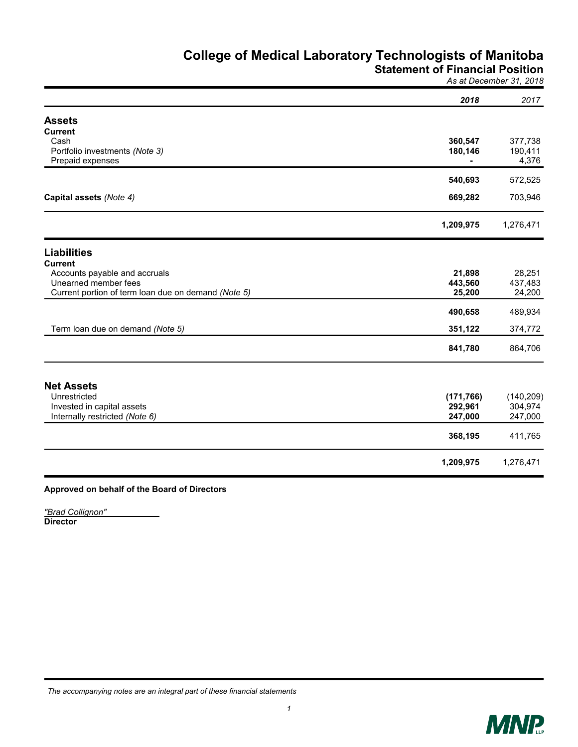**Statement of Financial Position**

*As at December 31, 2018*

|                                                     | 2018                  | 2017       |
|-----------------------------------------------------|-----------------------|------------|
| <b>Assets</b>                                       |                       |            |
| <b>Current</b>                                      |                       |            |
| Cash                                                | 360,547               | 377,738    |
| Portfolio investments (Note 3)                      | 180,146               | 190,411    |
| Prepaid expenses                                    |                       | 4,376      |
|                                                     | 540,693               | 572,525    |
| Capital assets (Note 4)                             | 669,282               | 703,946    |
|                                                     | 1,209,975             | 1,276,471  |
| <b>Liabilities</b>                                  |                       |            |
| <b>Current</b>                                      |                       |            |
| Accounts payable and accruals                       | 21,898                | 28,251     |
| Unearned member fees                                | 443,560               | 437,483    |
| Current portion of term loan due on demand (Note 5) | 25,200                | 24,200     |
|                                                     | 490,658               | 489,934    |
| Term loan due on demand (Note 5)                    | 351,122               | 374,772    |
|                                                     | 841,780               | 864,706    |
| <b>Net Assets</b>                                   |                       |            |
| Unrestricted                                        |                       | (140, 209) |
| Invested in capital assets                          | (171, 766)<br>292,961 | 304,974    |
| Internally restricted (Note 6)                      | 247,000               | 247,000    |
|                                                     |                       |            |
|                                                     | 368,195               | 411,765    |
|                                                     | 1,209,975             | 1,276,471  |

### **Approved on behalf of the Board of Directors**

*"Brad Collignon"* **Director**

*The accompanying notes are an integral part of these financial statements*

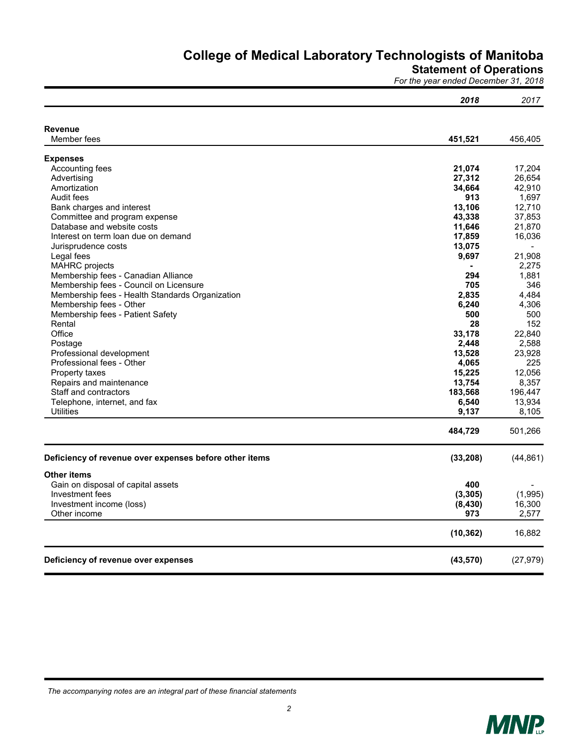**Statement of Operations**

*For the year ended December 31, 2018*

|                                                        | 2018      | 2017      |
|--------------------------------------------------------|-----------|-----------|
|                                                        |           |           |
| <b>Revenue</b><br>Member fees                          | 451,521   | 456,405   |
| <b>Expenses</b>                                        |           |           |
| Accounting fees                                        | 21,074    | 17,204    |
| Advertising                                            | 27,312    | 26,654    |
| Amortization                                           | 34,664    | 42.910    |
| Audit fees                                             | 913       | 1,697     |
| Bank charges and interest                              | 13,106    | 12,710    |
| Committee and program expense                          | 43,338    | 37,853    |
| Database and website costs                             | 11,646    | 21,870    |
| Interest on term loan due on demand                    | 17,859    | 16,036    |
| Jurisprudence costs                                    | 13,075    |           |
| Legal fees                                             | 9,697     | 21,908    |
| <b>MAHRC</b> projects                                  |           | 2,275     |
| Membership fees - Canadian Alliance                    | 294       | 1,881     |
| Membership fees - Council on Licensure                 | 705       | 346       |
| Membership fees - Health Standards Organization        | 2,835     | 4,484     |
| Membership fees - Other                                | 6,240     | 4,306     |
| Membership fees - Patient Safety                       | 500       | 500       |
| Rental                                                 | 28        | 152       |
| Office                                                 | 33,178    | 22,840    |
| Postage                                                | 2,448     | 2,588     |
| Professional development                               | 13,528    | 23,928    |
| Professional fees - Other                              | 4,065     | 225       |
| Property taxes                                         | 15,225    | 12.056    |
| Repairs and maintenance                                | 13,754    | 8.357     |
| Staff and contractors                                  | 183,568   | 196,447   |
| Telephone, internet, and fax                           | 6,540     | 13,934    |
| <b>Utilities</b>                                       | 9,137     | 8,105     |
|                                                        | 484,729   | 501,266   |
| Deficiency of revenue over expenses before other items | (33, 208) | (44, 861) |
| <b>Other items</b>                                     |           |           |
| Gain on disposal of capital assets                     | 400       |           |
| Investment fees                                        | (3, 305)  | (1,995)   |
| Investment income (loss)                               | (8, 430)  | 16,300    |
| Other income                                           | 973       | 2,577     |
|                                                        | (10, 362) | 16,882    |
| Deficiency of revenue over expenses                    | (43, 570) | (27, 979) |

*The accompanying notes are an integral part of these financial statements*

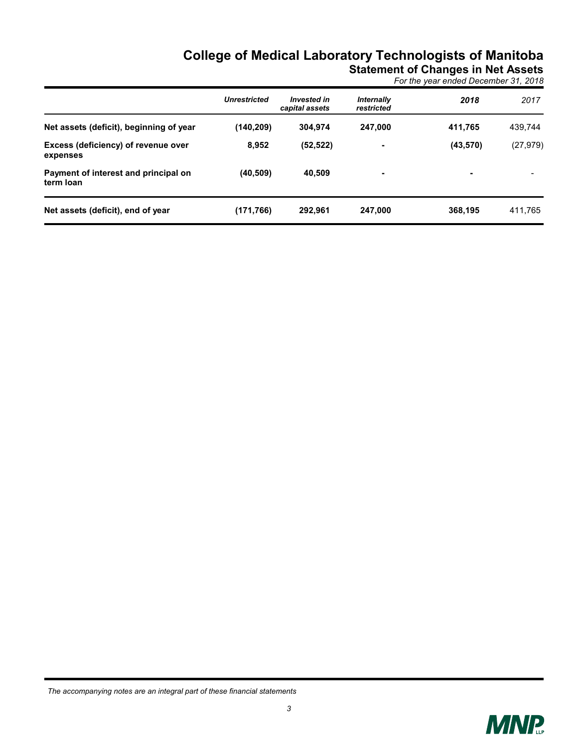**Statement of Changes in Net Assets**

| For the year ended December 31, 2018 |  |
|--------------------------------------|--|
|--------------------------------------|--|

|                                                   | <b>Unrestricted</b> | Invested in<br>capital assets | Internally<br>restricted | 2018                     | 2017      |
|---------------------------------------------------|---------------------|-------------------------------|--------------------------|--------------------------|-----------|
| Net assets (deficit), beginning of year           | (140,209)           | 304.974                       | 247,000                  | 411,765                  | 439,744   |
| Excess (deficiency) of revenue over<br>expenses   | 8,952               | (52, 522)                     | -                        | (43, 570)                | (27, 979) |
| Payment of interest and principal on<br>term loan | (40, 509)           | 40,509                        | -                        | $\overline{\phantom{a}}$ |           |
| Net assets (deficit), end of year                 | (171,766)           | 292,961                       | 247,000                  | 368,195                  | 411,765   |

*The accompanying notes are an integral part of these financial statements*

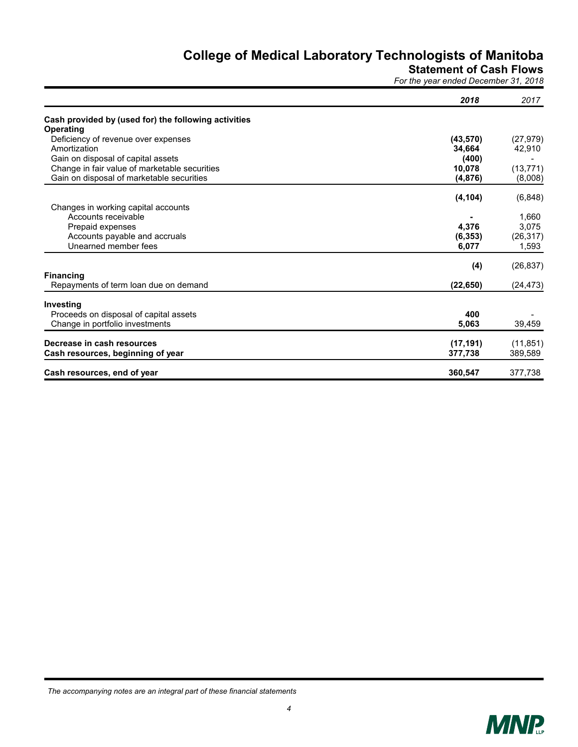**Statement of Cash Flows**

*For the year ended December 31, 2018*

|                                                                                                                                         | 2018                         | 2017                                 |
|-----------------------------------------------------------------------------------------------------------------------------------------|------------------------------|--------------------------------------|
| Cash provided by (used for) the following activities                                                                                    |                              |                                      |
| <b>Operating</b><br>Deficiency of revenue over expenses<br>Amortization<br>Gain on disposal of capital assets                           | (43, 570)<br>34,664<br>(400) | (27, 979)<br>42,910                  |
| Change in fair value of marketable securities<br>Gain on disposal of marketable securities                                              | 10,078<br>(4, 876)           | (13, 771)<br>(8,008)                 |
|                                                                                                                                         | (4, 104)                     | (6, 848)                             |
| Changes in working capital accounts<br>Accounts receivable<br>Prepaid expenses<br>Accounts payable and accruals<br>Unearned member fees | 4,376<br>(6, 353)<br>6,077   | 1,660<br>3,075<br>(26, 317)<br>1,593 |
|                                                                                                                                         | (4)                          | (26, 837)                            |
| <b>Financing</b><br>Repayments of term loan due on demand                                                                               | (22, 650)                    | (24, 473)                            |
| Investing<br>Proceeds on disposal of capital assets<br>Change in portfolio investments                                                  | 400<br>5,063                 | 39,459                               |
| Decrease in cash resources<br>Cash resources, beginning of year                                                                         | (17, 191)<br>377,738         | (11, 851)<br>389,589                 |
| Cash resources, end of year                                                                                                             | 360,547                      | 377,738                              |

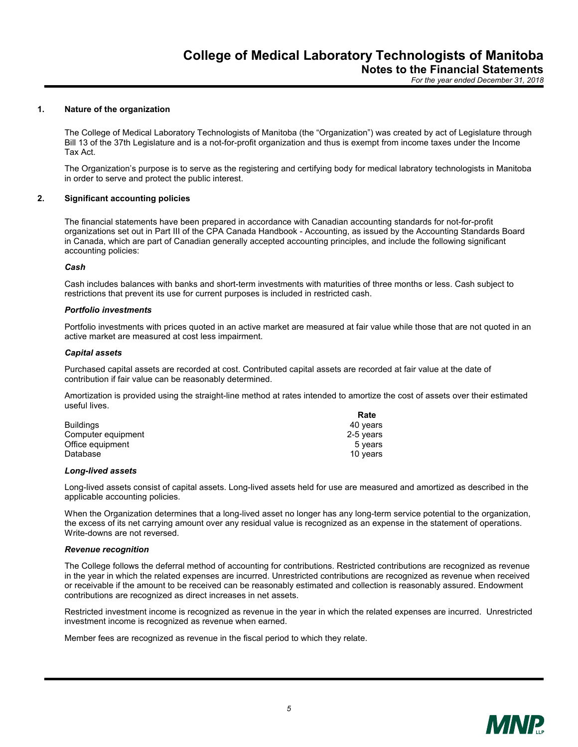*For the year ended December 31, 2018*

#### **1. Nature of the organization**

The College of Medical Laboratory Technologists of Manitoba (the "Organization") was created by act of Legislature through Bill 13 of the 37th Legislature and is a not-for-profit organization and thus is exempt from income taxes under the Income Tax Act.

The Organization's purpose is to serve as the registering and certifying body for medical labratory technologists in Manitoba in order to serve and protect the public interest.

#### **2. Significant accounting policies**

The financial statements have been prepared in accordance with Canadian accounting standards for not-for-profit organizations set out in Part III of the CPA Canada Handbook - Accounting, as issued by the Accounting Standards Board in Canada, which are part of Canadian generally accepted accounting principles, and include the following significant accounting policies:

#### *Cash*

Cash includes balances with banks and short-term investments with maturities of three months or less. Cash subject to restrictions that prevent its use for current purposes is included in restricted cash.

#### *Portfolio investments*

Portfolio investments with prices quoted in an active market are measured at fair value while those that are not quoted in an active market are measured at cost less impairment.

#### *Capital assets*

Purchased capital assets are recorded at cost. Contributed capital assets are recorded at fair value at the date of contribution if fair value can be reasonably determined.

Amortization is provided using the straight-line method at rates intended to amortize the cost of assets over their estimated useful lives. **Rate**

|                    | nale      |
|--------------------|-----------|
| <b>Buildings</b>   | 40 years  |
| Computer equipment | 2-5 years |
| Office equipment   | 5 years   |
| Database           | 10 years  |

#### *Long-lived assets*

Long-lived assets consist of capital assets. Long-lived assets held for use are measured and amortized as described in the applicable accounting policies.

When the Organization determines that a long-lived asset no longer has any long-term service potential to the organization, the excess of its net carrying amount over any residual value is recognized as an expense in the statement of operations. Write-downs are not reversed.

#### *Revenue recognition*

The College follows the deferral method of accounting for contributions. Restricted contributions are recognized as revenue in the year in which the related expenses are incurred. Unrestricted contributions are recognized as revenue when received or receivable if the amount to be received can be reasonably estimated and collection is reasonably assured. Endowment contributions are recognized as direct increases in net assets.

Restricted investment income is recognized as revenue in the year in which the related expenses are incurred. Unrestricted investment income is recognized as revenue when earned.

Member fees are recognized as revenue in the fiscal period to which they relate.

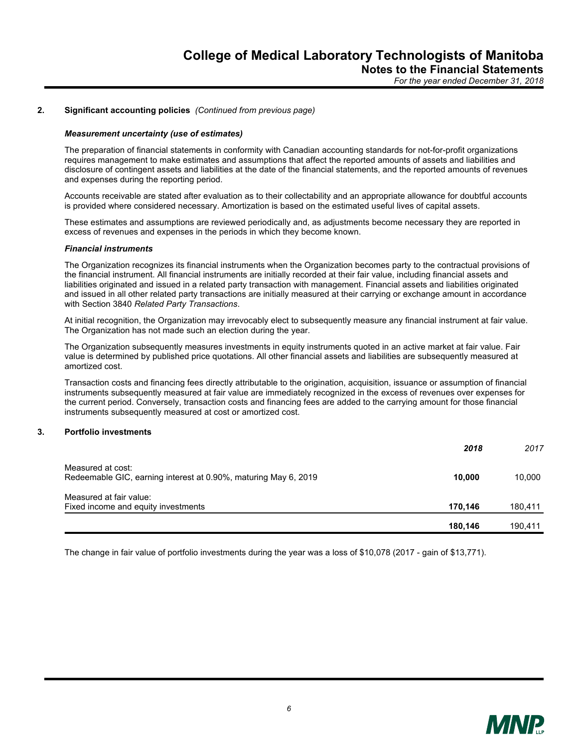*For the year ended December 31, 2018*

#### **2. Significant accounting policies** *(Continued from previous page)*

#### *Measurement uncertainty (use of estimates)*

The preparation of financial statements in conformity with Canadian accounting standards for not-for-profit organizations requires management to make estimates and assumptions that affect the reported amounts of assets and liabilities and disclosure of contingent assets and liabilities at the date of the financial statements, and the reported amounts of revenues and expenses during the reporting period.

Accounts receivable are stated after evaluation as to their collectability and an appropriate allowance for doubtful accounts is provided where considered necessary. Amortization is based on the estimated useful lives of capital assets.

These estimates and assumptions are reviewed periodically and, as adjustments become necessary they are reported in excess of revenues and expenses in the periods in which they become known.

#### *Financial instruments*

The Organization recognizes its financial instruments when the Organization becomes party to the contractual provisions of the financial instrument. All financial instruments are initially recorded at their fair value, including financial assets and liabilities originated and issued in a related party transaction with management. Financial assets and liabilities originated and issued in all other related party transactions are initially measured at their carrying or exchange amount in accordance with Section 3840 *Related Party Transactions*.

At initial recognition, the Organization may irrevocably elect to subsequently measure any financial instrument at fair value. The Organization has not made such an election during the year.

The Organization subsequently measures investments in equity instruments quoted in an active market at fair value. Fair value is determined by published price quotations. All other financial assets and liabilities are subsequently measured at amortized cost.

Transaction costs and financing fees directly attributable to the origination, acquisition, issuance or assumption of financial instruments subsequently measured at fair value are immediately recognized in the excess of revenues over expenses for the current period. Conversely, transaction costs and financing fees are added to the carrying amount for those financial instruments subsequently measured at cost or amortized cost.

#### **3. Portfolio investments**

|                                                                                      | 2018    | 2017    |
|--------------------------------------------------------------------------------------|---------|---------|
| Measured at cost:<br>Redeemable GIC, earning interest at 0.90%, maturing May 6, 2019 | 10.000  | 10.000  |
| Measured at fair value:<br>Fixed income and equity investments                       | 170.146 | 180,411 |
|                                                                                      | 180.146 | 190.411 |

The change in fair value of portfolio investments during the year was a loss of \$10,078 (2017 - gain of \$13,771).

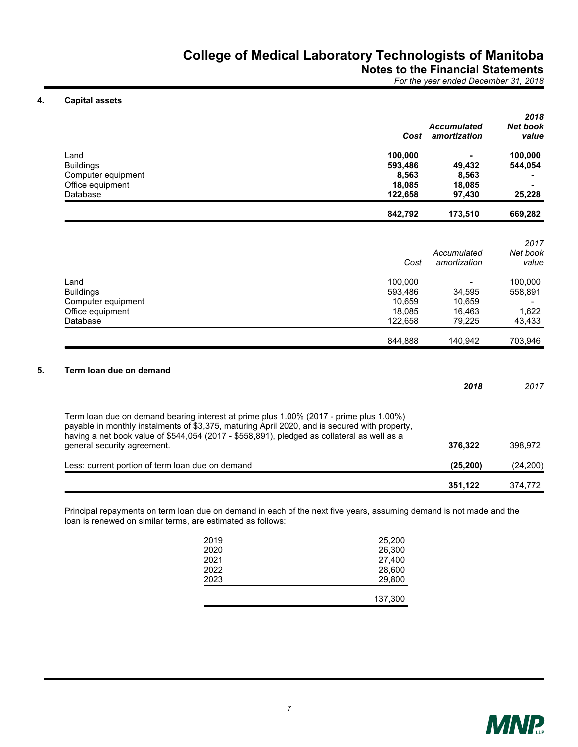**Notes to the Financial Statements**

*For the year ended December 31, 2018*

#### **4. Capital assets**

|                                                                                                                                                                                                                                                                                        | Cost               | <b>Accumulated</b><br>amortization | 2018<br><b>Net book</b><br>value |
|----------------------------------------------------------------------------------------------------------------------------------------------------------------------------------------------------------------------------------------------------------------------------------------|--------------------|------------------------------------|----------------------------------|
| Land<br><b>Buildings</b>                                                                                                                                                                                                                                                               | 100,000<br>593,486 | 49,432                             | 100,000<br>544,054               |
| Computer equipment                                                                                                                                                                                                                                                                     | 8,563              | 8,563                              |                                  |
| Office equipment<br>Database                                                                                                                                                                                                                                                           | 18,085<br>122,658  | 18,085<br>97,430                   | 25,228                           |
|                                                                                                                                                                                                                                                                                        | 842,792            | 173,510                            | 669,282                          |
|                                                                                                                                                                                                                                                                                        |                    |                                    | 2017                             |
|                                                                                                                                                                                                                                                                                        |                    | Accumulated                        | Net book                         |
|                                                                                                                                                                                                                                                                                        | Cost               | amortization                       | value                            |
| Land                                                                                                                                                                                                                                                                                   | 100,000            |                                    | 100,000                          |
| <b>Buildings</b>                                                                                                                                                                                                                                                                       | 593,486            | 34,595                             | 558,891                          |
| Computer equipment                                                                                                                                                                                                                                                                     | 10,659             | 10,659                             |                                  |
| Office equipment<br>Database                                                                                                                                                                                                                                                           | 18,085             | 16,463                             | 1,622                            |
|                                                                                                                                                                                                                                                                                        | 122,658            | 79,225                             | 43,433                           |
|                                                                                                                                                                                                                                                                                        | 844,888            | 140,942                            | 703,946                          |
| Term loan due on demand                                                                                                                                                                                                                                                                |                    | 2018                               | 2017                             |
| Term loan due on demand bearing interest at prime plus 1.00% (2017 - prime plus 1.00%)<br>payable in monthly instalments of \$3,375, maturing April 2020, and is secured with property,<br>having a net book value of \$544,054 (2017 - \$558,891), pledged as collateral as well as a |                    |                                    |                                  |
| general security agreement.                                                                                                                                                                                                                                                            |                    | 376,322                            | 398,972                          |
| Less: current portion of term loan due on demand                                                                                                                                                                                                                                       |                    | (25, 200)                          | (24, 200)                        |
|                                                                                                                                                                                                                                                                                        |                    | 351,122                            | 374,772                          |

Principal repayments on term loan due on demand in each of the next five years, assuming demand is not made and the loan is renewed on similar terms, are estimated as follows:

| 2019 | 25,200  |
|------|---------|
| 2020 | 26,300  |
| 2021 | 27,400  |
| 2022 | 28,600  |
| 2023 | 29,800  |
|      |         |
|      | 137,300 |